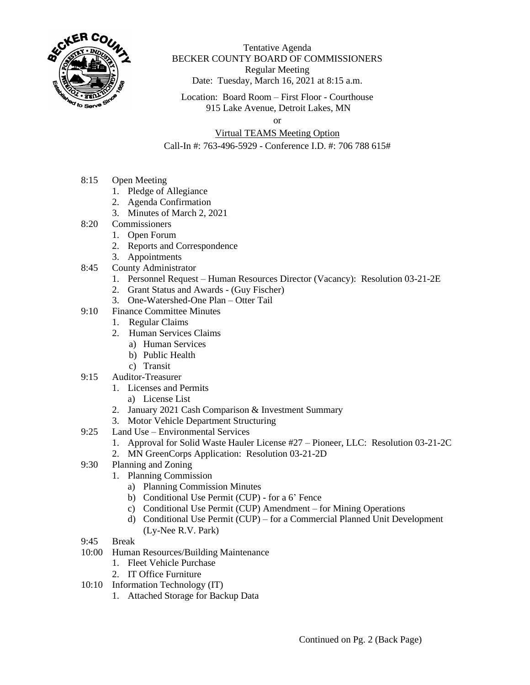

Tentative Agenda BECKER COUNTY BOARD OF COMMISSIONERS Regular Meeting Date: Tuesday, March 16, 2021 at 8:15 a.m.

Location: Board Room – First Floor - Courthouse 915 Lake Avenue, Detroit Lakes, MN

or

## Virtual TEAMS Meeting Option

Call-In #: 763-496-5929 - Conference I.D. #: 706 788 615#

- 8:15 Open Meeting
	- 1. Pledge of Allegiance
	- 2. Agenda Confirmation
	- 3. Minutes of March 2, 2021
- 8:20 Commissioners
	- 1. Open Forum
	- 2. Reports and Correspondence
	- 3. Appointments
- 8:45 County Administrator
	- 1. Personnel Request Human Resources Director (Vacancy): Resolution 03-21-2E
	- 2. Grant Status and Awards (Guy Fischer)
	- 3. One-Watershed-One Plan Otter Tail
- 9:10 Finance Committee Minutes
	- 1. Regular Claims
	- 2. Human Services Claims
		- a) Human Services
		- b) Public Health
		- c) Transit
- 9:15 Auditor-Treasurer
	- 1. Licenses and Permits
		- a) License List
	- 2. January 2021 Cash Comparison & Investment Summary
	- 3. Motor Vehicle Department Structuring
- 9:25 Land Use Environmental Services
	- 1. Approval for Solid Waste Hauler License #27 Pioneer, LLC: Resolution 03-21-2C
	- 2. MN GreenCorps Application: Resolution 03-21-2D
- 9:30 Planning and Zoning
	- 1. Planning Commission
		- a) Planning Commission Minutes
		- b) Conditional Use Permit (CUP) for a 6' Fence
		- c) Conditional Use Permit (CUP) Amendment for Mining Operations
		- d) Conditional Use Permit (CUP) for a Commercial Planned Unit Development (Ly-Nee R.V. Park)
- 9:45 Break
- 10:00 Human Resources/Building Maintenance
	- 1. Fleet Vehicle Purchase
	- 2. IT Office Furniture
- 10:10 Information Technology (IT)
	- 1. Attached Storage for Backup Data